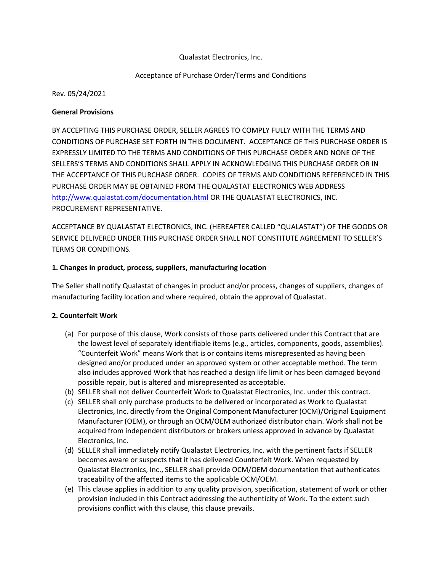# Qualastat Electronics, Inc.

## Acceptance of Purchase Order/Terms and Conditions

Rev. 05/24/2021

#### General Provisions

BY ACCEPTING THIS PURCHASE ORDER, SELLER AGREES TO COMPLY FULLY WITH THE TERMS AND CONDITIONS OF PURCHASE SET FORTH IN THIS DOCUMENT. ACCEPTANCE OF THIS PURCHASE ORDER IS EXPRESSLY LIMITED TO THE TERMS AND CONDITIONS OF THIS PURCHASE ORDER AND NONE OF THE SELLERS'S TERMS AND CONDITIONS SHALL APPLY IN ACKNOWLEDGING THIS PURCHASE ORDER OR IN THE ACCEPTANCE OF THIS PURCHASE ORDER. COPIES OF TERMS AND CONDITIONS REFERENCED IN THIS PURCHASE ORDER MAY BE OBTAINED FROM THE QUALASTAT ELECTRONICS WEB ADDRESS http://www.qualastat.com/documentation.html OR THE QUALASTAT ELECTRONICS, INC. PROCUREMENT REPRESENTATIVE.

ACCEPTANCE BY QUALASTAT ELECTRONICS, INC. (HEREAFTER CALLED "QUALASTAT") OF THE GOODS OR SERVICE DELIVERED UNDER THIS PURCHASE ORDER SHALL NOT CONSTITUTE AGREEMENT TO SELLER'S TERMS OR CONDITIONS.

#### 1. Changes in product, process, suppliers, manufacturing location

The Seller shall notify Qualastat of changes in product and/or process, changes of suppliers, changes of manufacturing facility location and where required, obtain the approval of Qualastat.

#### 2. Counterfeit Work

- (a) For purpose of this clause, Work consists of those parts delivered under this Contract that are the lowest level of separately identifiable items (e.g., articles, components, goods, assemblies). "Counterfeit Work" means Work that is or contains items misrepresented as having been designed and/or produced under an approved system or other acceptable method. The term also includes approved Work that has reached a design life limit or has been damaged beyond possible repair, but is altered and misrepresented as acceptable.
- (b) SELLER shall not deliver Counterfeit Work to Qualastat Electronics, Inc. under this contract.
- (c) SELLER shall only purchase products to be delivered or incorporated as Work to Qualastat Electronics, Inc. directly from the Original Component Manufacturer (OCM)/Original Equipment Manufacturer (OEM), or through an OCM/OEM authorized distributor chain. Work shall not be acquired from independent distributors or brokers unless approved in advance by Qualastat Electronics, Inc.
- (d) SELLER shall immediately notify Qualastat Electronics, Inc. with the pertinent facts if SELLER becomes aware or suspects that it has delivered Counterfeit Work. When requested by Qualastat Electronics, Inc., SELLER shall provide OCM/OEM documentation that authenticates traceability of the affected items to the applicable OCM/OEM.
- (e) This clause applies in addition to any quality provision, specification, statement of work or other provision included in this Contract addressing the authenticity of Work. To the extent such provisions conflict with this clause, this clause prevails.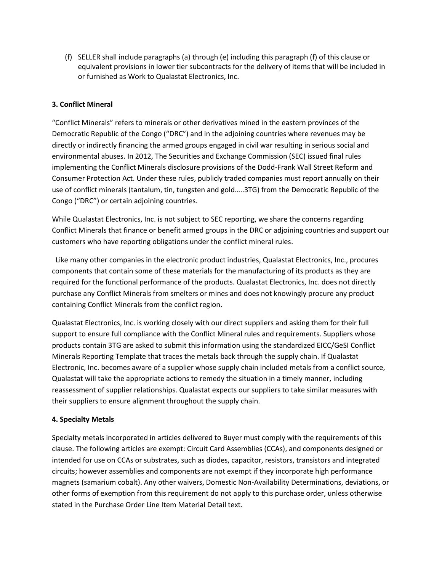(f) SELLER shall include paragraphs (a) through (e) including this paragraph (f) of this clause or equivalent provisions in lower tier subcontracts for the delivery of items that will be included in or furnished as Work to Qualastat Electronics, Inc.

# 3. Conflict Mineral

"Conflict Minerals" refers to minerals or other derivatives mined in the eastern provinces of the Democratic Republic of the Congo ("DRC") and in the adjoining countries where revenues may be directly or indirectly financing the armed groups engaged in civil war resulting in serious social and environmental abuses. In 2012, The Securities and Exchange Commission (SEC) issued final rules implementing the Conflict Minerals disclosure provisions of the Dodd-Frank Wall Street Reform and Consumer Protection Act. Under these rules, publicly traded companies must report annually on their use of conflict minerals (tantalum, tin, tungsten and gold…..3TG) from the Democratic Republic of the Congo ("DRC") or certain adjoining countries.

While Qualastat Electronics, Inc. is not subject to SEC reporting, we share the concerns regarding Conflict Minerals that finance or benefit armed groups in the DRC or adjoining countries and support our customers who have reporting obligations under the conflict mineral rules.

 Like many other companies in the electronic product industries, Qualastat Electronics, Inc., procures components that contain some of these materials for the manufacturing of its products as they are required for the functional performance of the products. Qualastat Electronics, Inc. does not directly purchase any Conflict Minerals from smelters or mines and does not knowingly procure any product containing Conflict Minerals from the conflict region.

Qualastat Electronics, Inc. is working closely with our direct suppliers and asking them for their full support to ensure full compliance with the Conflict Mineral rules and requirements. Suppliers whose products contain 3TG are asked to submit this information using the standardized EICC/GeSI Conflict Minerals Reporting Template that traces the metals back through the supply chain. If Qualastat Electronic, Inc. becomes aware of a supplier whose supply chain included metals from a conflict source, Qualastat will take the appropriate actions to remedy the situation in a timely manner, including reassessment of supplier relationships. Qualastat expects our suppliers to take similar measures with their suppliers to ensure alignment throughout the supply chain.

# 4. Specialty Metals

Specialty metals incorporated in articles delivered to Buyer must comply with the requirements of this clause. The following articles are exempt: Circuit Card Assemblies (CCAs), and components designed or intended for use on CCAs or substrates, such as diodes, capacitor, resistors, transistors and integrated circuits; however assemblies and components are not exempt if they incorporate high performance magnets (samarium cobalt). Any other waivers, Domestic Non-Availability Determinations, deviations, or other forms of exemption from this requirement do not apply to this purchase order, unless otherwise stated in the Purchase Order Line Item Material Detail text.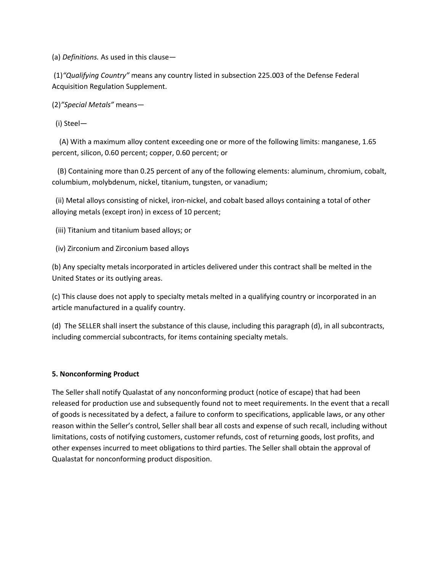(a) Definitions. As used in this clause—

(1)"Qualifying Country" means any country listed in subsection 225.003 of the Defense Federal Acquisition Regulation Supplement.

(2)"Special Metals" means—

(i) Steel—

 (A) With a maximum alloy content exceeding one or more of the following limits: manganese, 1.65 percent, silicon, 0.60 percent; copper, 0.60 percent; or

 (B) Containing more than 0.25 percent of any of the following elements: aluminum, chromium, cobalt, columbium, molybdenum, nickel, titanium, tungsten, or vanadium;

 (ii) Metal alloys consisting of nickel, iron-nickel, and cobalt based alloys containing a total of other alloying metals (except iron) in excess of 10 percent;

(iii) Titanium and titanium based alloys; or

(iv) Zirconium and Zirconium based alloys

(b) Any specialty metals incorporated in articles delivered under this contract shall be melted in the United States or its outlying areas.

(c) This clause does not apply to specialty metals melted in a qualifying country or incorporated in an article manufactured in a qualify country.

(d) The SELLER shall insert the substance of this clause, including this paragraph (d), in all subcontracts, including commercial subcontracts, for items containing specialty metals.

#### 5. Nonconforming Product

The Seller shall notify Qualastat of any nonconforming product (notice of escape) that had been released for production use and subsequently found not to meet requirements. In the event that a recall of goods is necessitated by a defect, a failure to conform to specifications, applicable laws, or any other reason within the Seller's control, Seller shall bear all costs and expense of such recall, including without limitations, costs of notifying customers, customer refunds, cost of returning goods, lost profits, and other expenses incurred to meet obligations to third parties. The Seller shall obtain the approval of Qualastat for nonconforming product disposition.